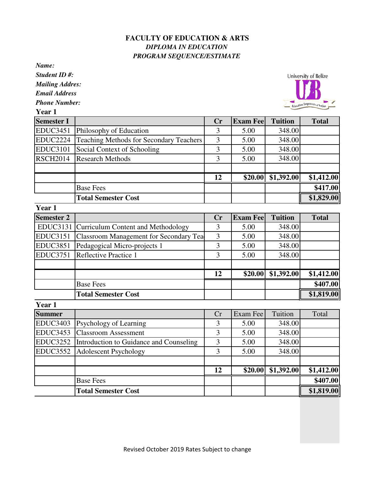## **FACULTY OF EDUCATION & ARTS** *DIPLOMA IN EDUCATION PROGRAM SEQUENCE/ESTIMATE*

*Name:*

*Student ID #:*

*Mailing Addres:*

*Email Address*

*Phone Number:*

**Year 1**



| Semester I      |                                                | $\mathbf{C}$ r | <b>Exam Fee</b> | <b>Tuition</b>               | <b>Total</b> |
|-----------------|------------------------------------------------|----------------|-----------------|------------------------------|--------------|
|                 | EDUC3451 Philosophy of Education               |                | 5.00            | 348.00                       |              |
| <b>EDUC2224</b> | <b>Teaching Methods for Secondary Teachers</b> | 3              | 5.00            | 348.00                       |              |
| <b>EDUC3101</b> | Social Context of Schooling                    | 3              | 5.00            | 348.00                       |              |
| <b>RSCH2014</b> | <b>Research Methods</b>                        | 3              | 5.00            | 348.00                       |              |
|                 |                                                |                |                 |                              |              |
|                 |                                                | 12             |                 | $$20.00 \, \text{S}1,392.00$ | \$1,412.00   |
|                 | <b>Base Fees</b>                               |                |                 |                              | \$417.00     |
|                 | <b>Total Semester Cost</b>                     |                |                 |                              | \$1,829.00   |

| Year 1            |                                             |                |                  |                |              |
|-------------------|---------------------------------------------|----------------|------------------|----------------|--------------|
| <b>Semester 2</b> |                                             | $\mathbf{C}$ r | <b>Exam Feel</b> | <b>Tuition</b> | <b>Total</b> |
|                   | EDUC3131 Curriculum Content and Methodology |                | 5.00             | 348.00         |              |
| <b>EDUC3151</b>   | Classroom Management for Secondary Tea      | 3              | 5.00             | 348.00         |              |
| <b>EDUC3851</b>   | Pedagogical Micro-projects 1                | 3              | 5.00             | 348.00         |              |
|                   | EDUC3751 Reflective Practice 1              | 3              | 5.00             | 348.00         |              |
|                   |                                             |                |                  |                |              |
|                   |                                             | 12             | \$20.00          | \$1,392.00     | \$1,412.00   |
|                   | <b>Base Fees</b>                            |                |                  |                | \$407.00     |
|                   | <b>Total Semester Cost</b>                  |                |                  |                | \$1,819.00   |

| Year 1          |                                         |    |          |            |            |
|-----------------|-----------------------------------------|----|----------|------------|------------|
| <b>Summer</b>   |                                         | Cr | Exam Fee | Tuition    | Total      |
| <b>EDUC3403</b> | <b>Psychology of Learning</b>           |    | 5.00     | 348.00     |            |
|                 | EDUC3453 Classroom Assessment           | 3  | 5.00     | 348.00     |            |
| <b>EDUC3252</b> | Introduction to Guidance and Counseling | 3  | 5.00     | 348.00     |            |
|                 | EDUC3552 Adolescent Psychology          | 3  | 5.00     | 348.00     |            |
|                 |                                         |    |          |            |            |
|                 |                                         | 12 | \$20.00  | \$1,392.00 | \$1,412.00 |
|                 | <b>Base Fees</b>                        |    |          |            | \$407.00   |
|                 | <b>Total Semester Cost</b>              |    |          |            | \$1,819.00 |